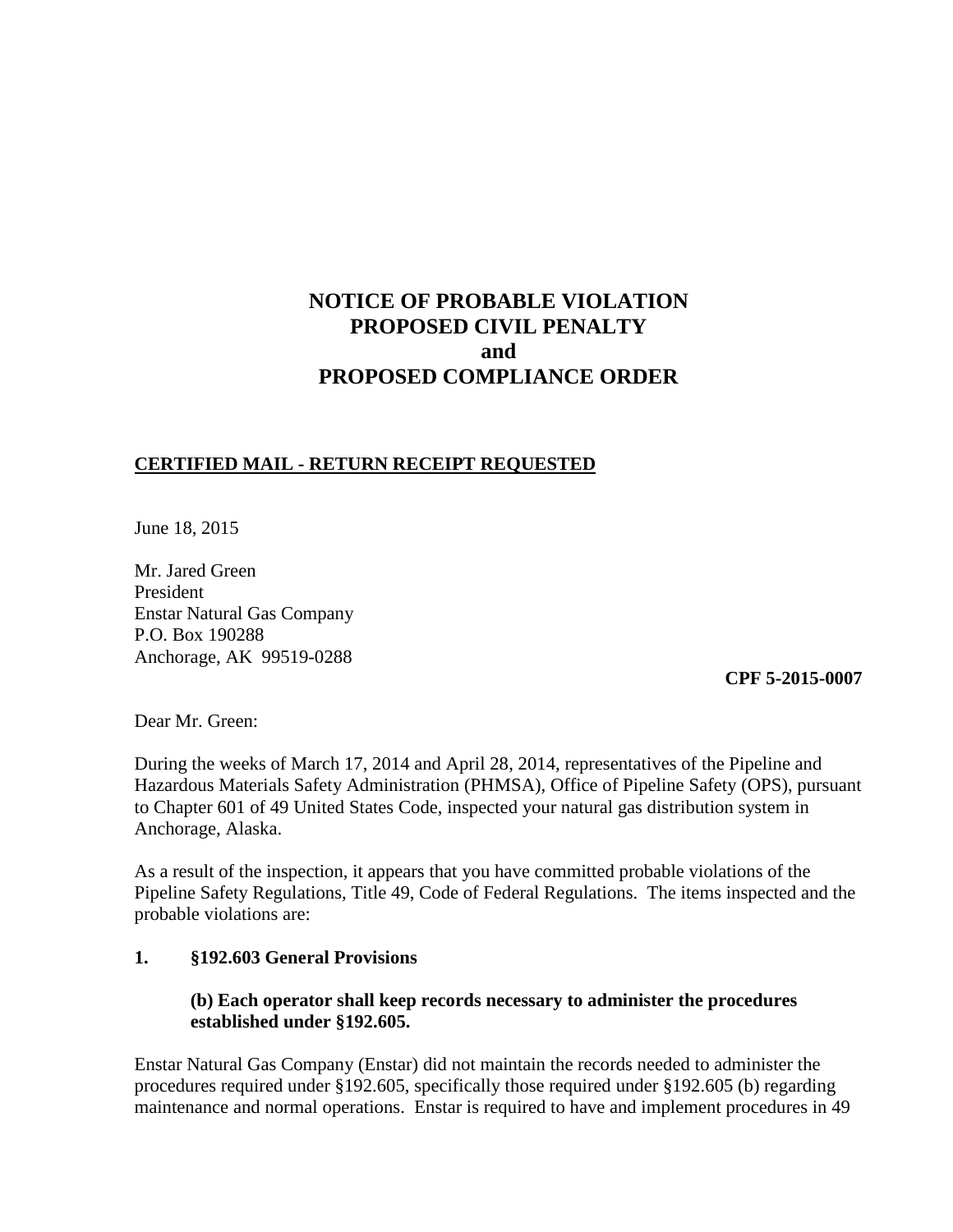# **NOTICE OF PROBABLE VIOLATION PROPOSED CIVIL PENALTY and PROPOSED COMPLIANCE ORDER**

### **CERTIFIED MAIL - RETURN RECEIPT REQUESTED**

June 18, 2015

Mr. Jared Green President Enstar Natural Gas Company P.O. Box 190288 Anchorage, AK 99519-0288

**CPF 5-2015-0007** 

Dear Mr. Green:

During the weeks of March 17, 2014 and April 28, 2014, representatives of the Pipeline and Hazardous Materials Safety Administration (PHMSA), Office of Pipeline Safety (OPS), pursuant to Chapter 601 of 49 United States Code, inspected your natural gas distribution system in Anchorage, Alaska.

As a result of the inspection, it appears that you have committed probable violations of the Pipeline Safety Regulations, Title 49, Code of Federal Regulations. The items inspected and the probable violations are:

#### **1. §192.603 General Provisions**

### **(b) Each operator shall keep records necessary to administer the procedures established under §192.605.**

Enstar Natural Gas Company (Enstar) did not maintain the records needed to administer the procedures required under §192.605, specifically those required under §192.605 (b) regarding maintenance and normal operations. Enstar is required to have and implement procedures in 49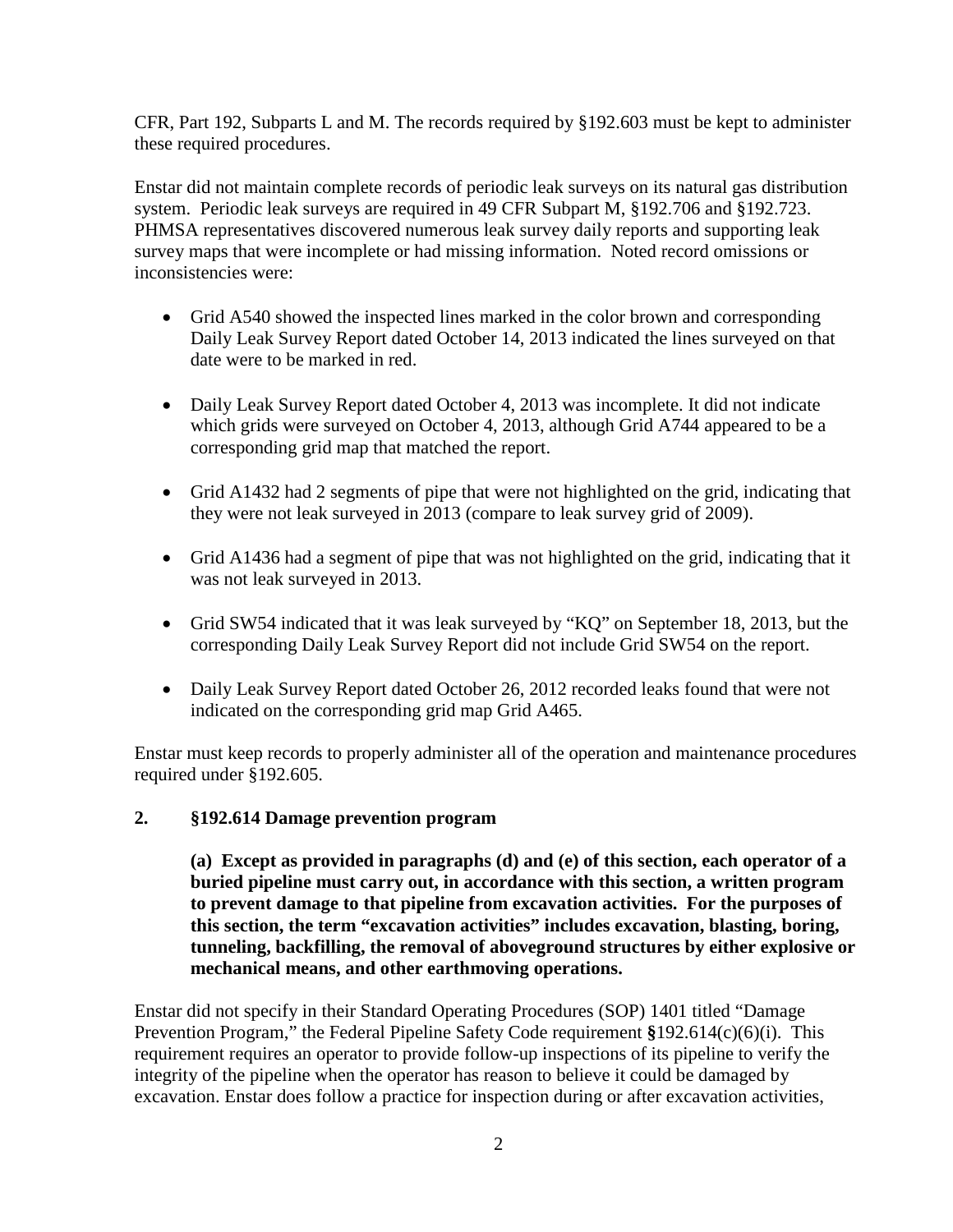CFR, Part 192, Subparts L and M. The records required by §192.603 must be kept to administer these required procedures.

Enstar did not maintain complete records of periodic leak surveys on its natural gas distribution system. Periodic leak surveys are required in 49 CFR Subpart M, §192.706 and §192.723. PHMSA representatives discovered numerous leak survey daily reports and supporting leak survey maps that were incomplete or had missing information. Noted record omissions or inconsistencies were:

- Grid A540 showed the inspected lines marked in the color brown and corresponding Daily Leak Survey Report dated October 14, 2013 indicated the lines surveyed on that date were to be marked in red.
- Daily Leak Survey Report dated October 4, 2013 was incomplete. It did not indicate which grids were surveyed on October 4, 2013, although Grid A744 appeared to be a corresponding grid map that matched the report.
- Grid A1432 had 2 segments of pipe that were not highlighted on the grid, indicating that they were not leak surveyed in 2013 (compare to leak survey grid of 2009).
- Grid A1436 had a segment of pipe that was not highlighted on the grid, indicating that it was not leak surveyed in 2013.
- Grid SW54 indicated that it was leak surveyed by "KQ" on September 18, 2013, but the corresponding Daily Leak Survey Report did not include Grid SW54 on the report.
- Daily Leak Survey Report dated October 26, 2012 recorded leaks found that were not indicated on the corresponding grid map Grid A465.

Enstar must keep records to properly administer all of the operation and maintenance procedures required under §192.605.

### **2. §192.614 Damage prevention program**

**(a) Except as provided in paragraphs (d) and (e) of this section, each operator of a buried pipeline must carry out, in accordance with this section, a written program to prevent damage to that pipeline from excavation activities. For the purposes of this section, the term "excavation activities" includes excavation, blasting, boring, tunneling, backfilling, the removal of aboveground structures by either explosive or mechanical means, and other earthmoving operations.**

Enstar did not specify in their Standard Operating Procedures (SOP) 1401 titled "Damage Prevention Program," the Federal Pipeline Safety Code requirement **§**192.614(c)(6)(i). This requirement requires an operator to provide follow-up inspections of its pipeline to verify the integrity of the pipeline when the operator has reason to believe it could be damaged by excavation. Enstar does follow a practice for inspection during or after excavation activities,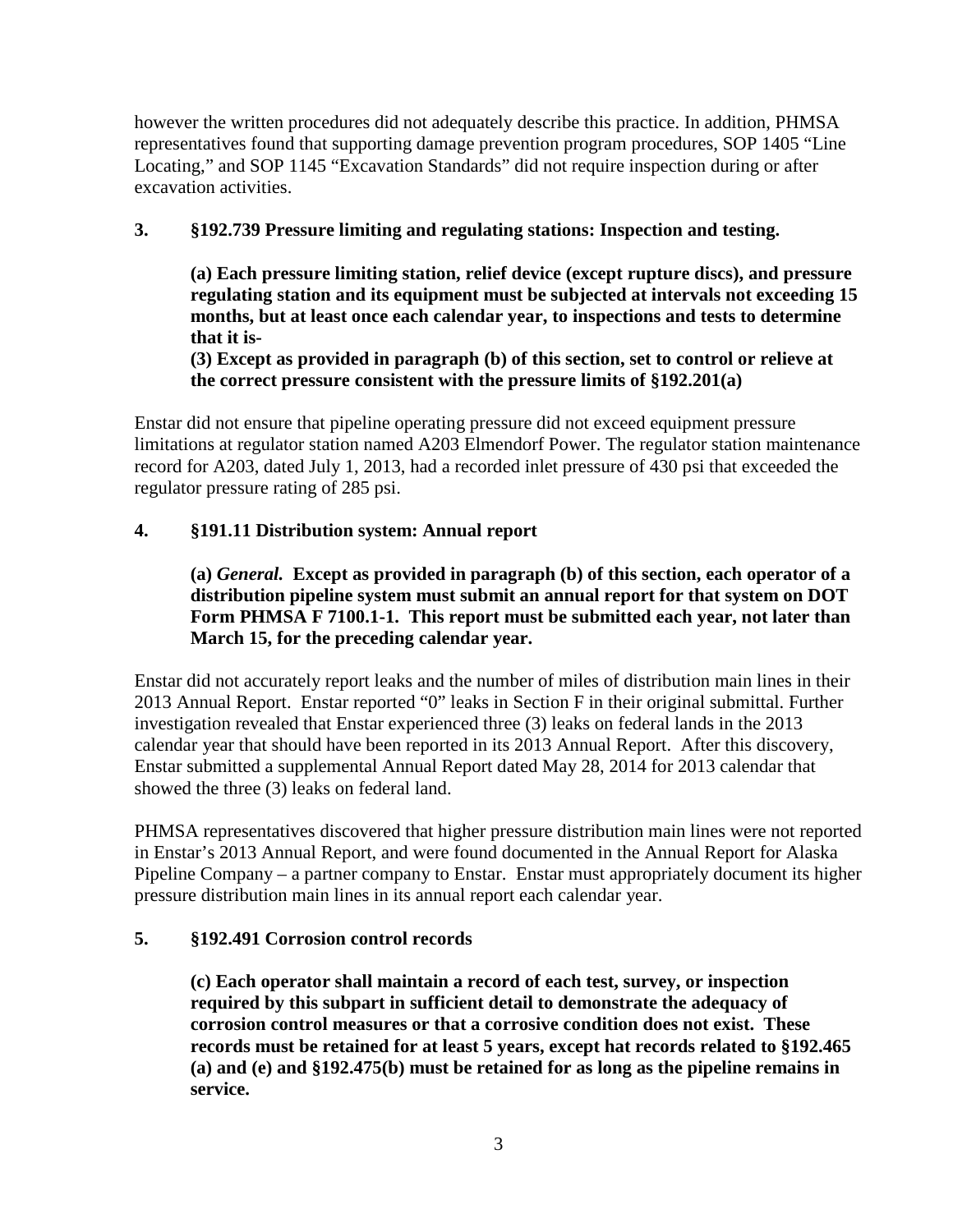however the written procedures did not adequately describe this practice. In addition, PHMSA representatives found that supporting damage prevention program procedures, SOP 1405 "Line Locating," and SOP 1145 "Excavation Standards" did not require inspection during or after excavation activities.

### **3. §192.739 Pressure limiting and regulating stations: Inspection and testing.**

**(a) Each pressure limiting station, relief device (except rupture discs), and pressure regulating station and its equipment must be subjected at intervals not exceeding 15 months, but at least once each calendar year, to inspections and tests to determine that it is-** 

**(3) Except as provided in paragraph (b) of this section, set to control or relieve at the correct pressure consistent with the pressure limits of §192.201(a)** 

Enstar did not ensure that pipeline operating pressure did not exceed equipment pressure limitations at regulator station named A203 Elmendorf Power. The regulator station maintenance record for A203, dated July 1, 2013, had a recorded inlet pressure of 430 psi that exceeded the regulator pressure rating of 285 psi.

## **4. §191.11 Distribution system: Annual report**

**(a)** *General.* **Except as provided in paragraph (b) of this section, each operator of a distribution pipeline system must submit an annual report for that system on DOT Form PHMSA F 7100.1-1. This report must be submitted each year, not later than March 15, for the preceding calendar year.**

Enstar did not accurately report leaks and the number of miles of distribution main lines in their 2013 Annual Report. Enstar reported "0" leaks in Section F in their original submittal. Further investigation revealed that Enstar experienced three (3) leaks on federal lands in the 2013 calendar year that should have been reported in its 2013 Annual Report. After this discovery, Enstar submitted a supplemental Annual Report dated May 28, 2014 for 2013 calendar that showed the three (3) leaks on federal land.

PHMSA representatives discovered that higher pressure distribution main lines were not reported in Enstar's 2013 Annual Report, and were found documented in the Annual Report for Alaska Pipeline Company – a partner company to Enstar. Enstar must appropriately document its higher pressure distribution main lines in its annual report each calendar year.

### **5. §192.491 Corrosion control records**

**(c) Each operator shall maintain a record of each test, survey, or inspection required by this subpart in sufficient detail to demonstrate the adequacy of corrosion control measures or that a corrosive condition does not exist. These records must be retained for at least 5 years, except hat records related to §192.465 (a) and (e) and §192.475(b) must be retained for as long as the pipeline remains in service.**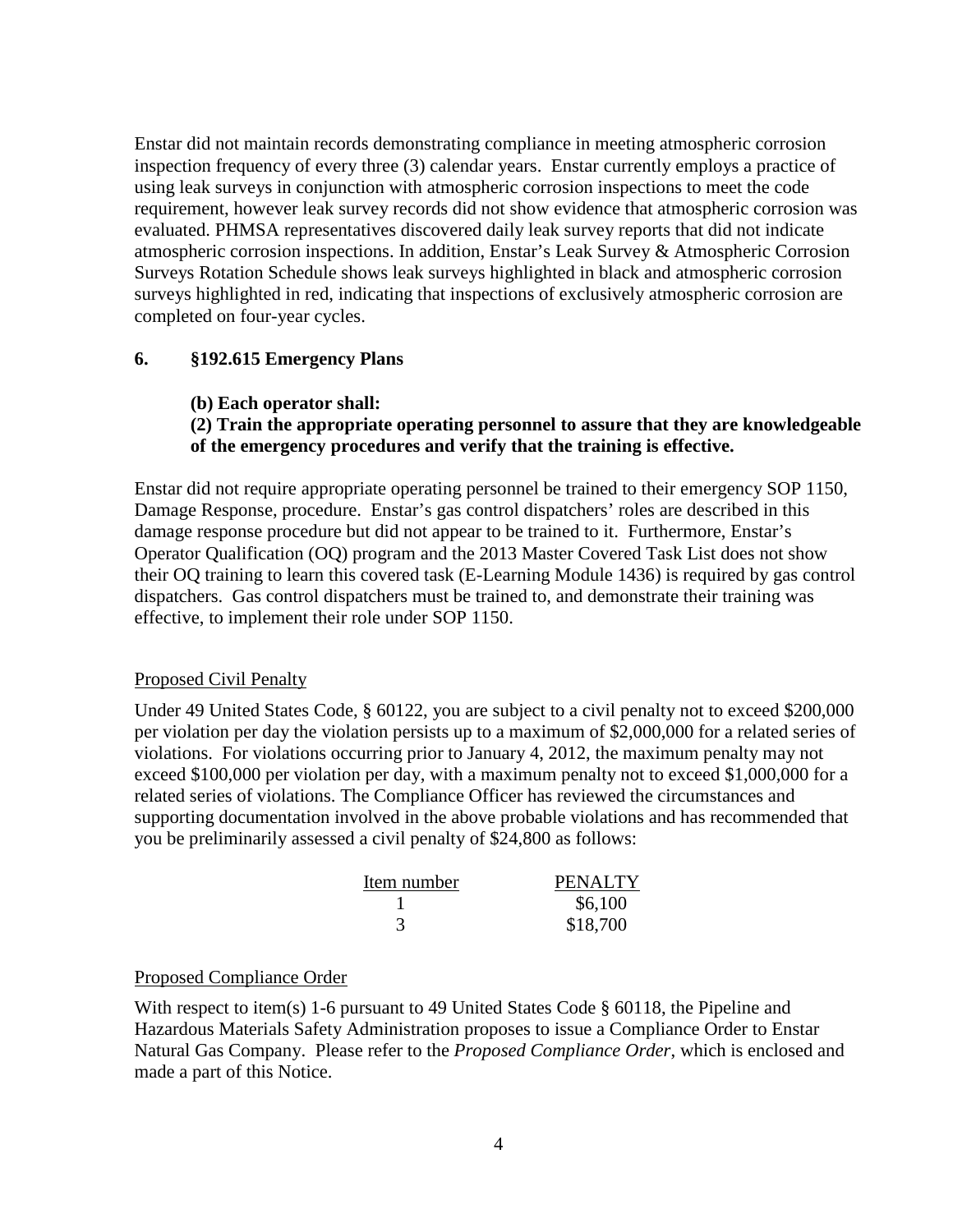Enstar did not maintain records demonstrating compliance in meeting atmospheric corrosion inspection frequency of every three (3) calendar years. Enstar currently employs a practice of using leak surveys in conjunction with atmospheric corrosion inspections to meet the code requirement, however leak survey records did not show evidence that atmospheric corrosion was evaluated. PHMSA representatives discovered daily leak survey reports that did not indicate atmospheric corrosion inspections. In addition, Enstar's Leak Survey & Atmospheric Corrosion Surveys Rotation Schedule shows leak surveys highlighted in black and atmospheric corrosion surveys highlighted in red, indicating that inspections of exclusively atmospheric corrosion are completed on four-year cycles.

### **6. §192.615 Emergency Plans**

**(b) Each operator shall:** 

### **(2) Train the appropriate operating personnel to assure that they are knowledgeable of the emergency procedures and verify that the training is effective.**

Enstar did not require appropriate operating personnel be trained to their emergency SOP 1150, Damage Response, procedure. Enstar's gas control dispatchers' roles are described in this damage response procedure but did not appear to be trained to it. Furthermore, Enstar's Operator Qualification (OQ) program and the 2013 Master Covered Task List does not show their OQ training to learn this covered task (E-Learning Module 1436) is required by gas control dispatchers. Gas control dispatchers must be trained to, and demonstrate their training was effective, to implement their role under SOP 1150.

### Proposed Civil Penalty

Under 49 United States Code, § 60122, you are subject to a civil penalty not to exceed \$200,000 per violation per day the violation persists up to a maximum of \$2,000,000 for a related series of violations. For violations occurring prior to January 4, 2012, the maximum penalty may not exceed \$100,000 per violation per day, with a maximum penalty not to exceed \$1,000,000 for a related series of violations. The Compliance Officer has reviewed the circumstances and supporting documentation involved in the above probable violations and has recommended that you be preliminarily assessed a civil penalty of \$24,800 as follows:

| Item number | <b>PENALTY</b> |
|-------------|----------------|
|             | \$6,100        |
|             | \$18,700       |

### Proposed Compliance Order

With respect to item(s) 1-6 pursuant to 49 United States Code § 60118, the Pipeline and Hazardous Materials Safety Administration proposes to issue a Compliance Order to Enstar Natural Gas Company. Please refer to the *Proposed Compliance Order*, which is enclosed and made a part of this Notice.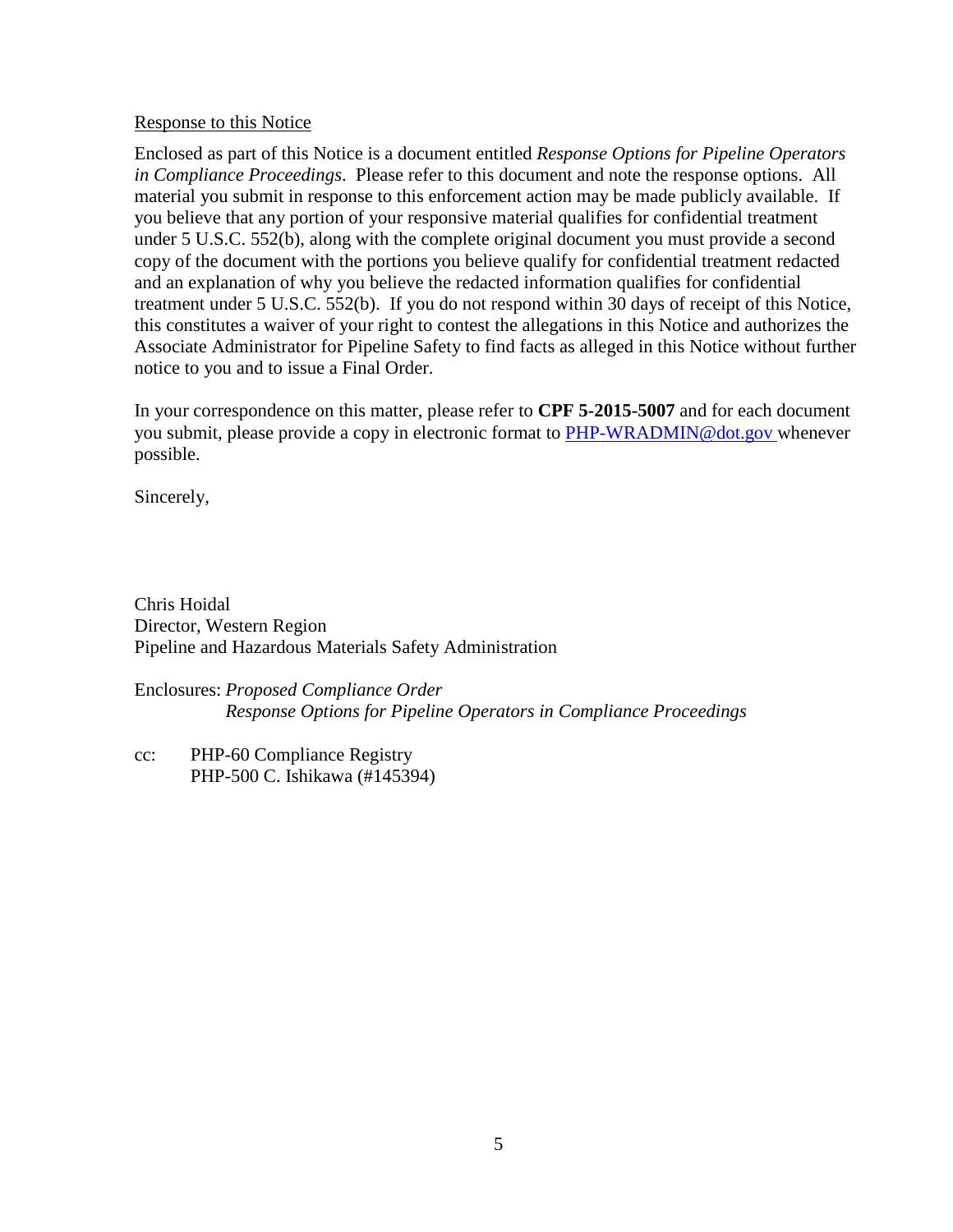#### Response to this Notice

Enclosed as part of this Notice is a document entitled *Response Options for Pipeline Operators in Compliance Proceedings*. Please refer to this document and note the response options. All material you submit in response to this enforcement action may be made publicly available. If you believe that any portion of your responsive material qualifies for confidential treatment under 5 U.S.C. 552(b), along with the complete original document you must provide a second copy of the document with the portions you believe qualify for confidential treatment redacted and an explanation of why you believe the redacted information qualifies for confidential treatment under 5 U.S.C. 552(b). If you do not respond within 30 days of receipt of this Notice, this constitutes a waiver of your right to contest the allegations in this Notice and authorizes the Associate Administrator for Pipeline Safety to find facts as alleged in this Notice without further notice to you and to issue a Final Order.

In your correspondence on this matter, please refer to **CPF 5-2015-5007** and for each document you submit, please provide a copy in electronic format to PHP-WRADMIN@dot.gov whenever possible.

Sincerely,

Chris Hoidal Director, Western Region Pipeline and Hazardous Materials Safety Administration

Enclosures: *Proposed Compliance Order Response Options for Pipeline Operators in Compliance Proceedings* 

cc: PHP-60 Compliance Registry PHP-500 C. Ishikawa (#145394)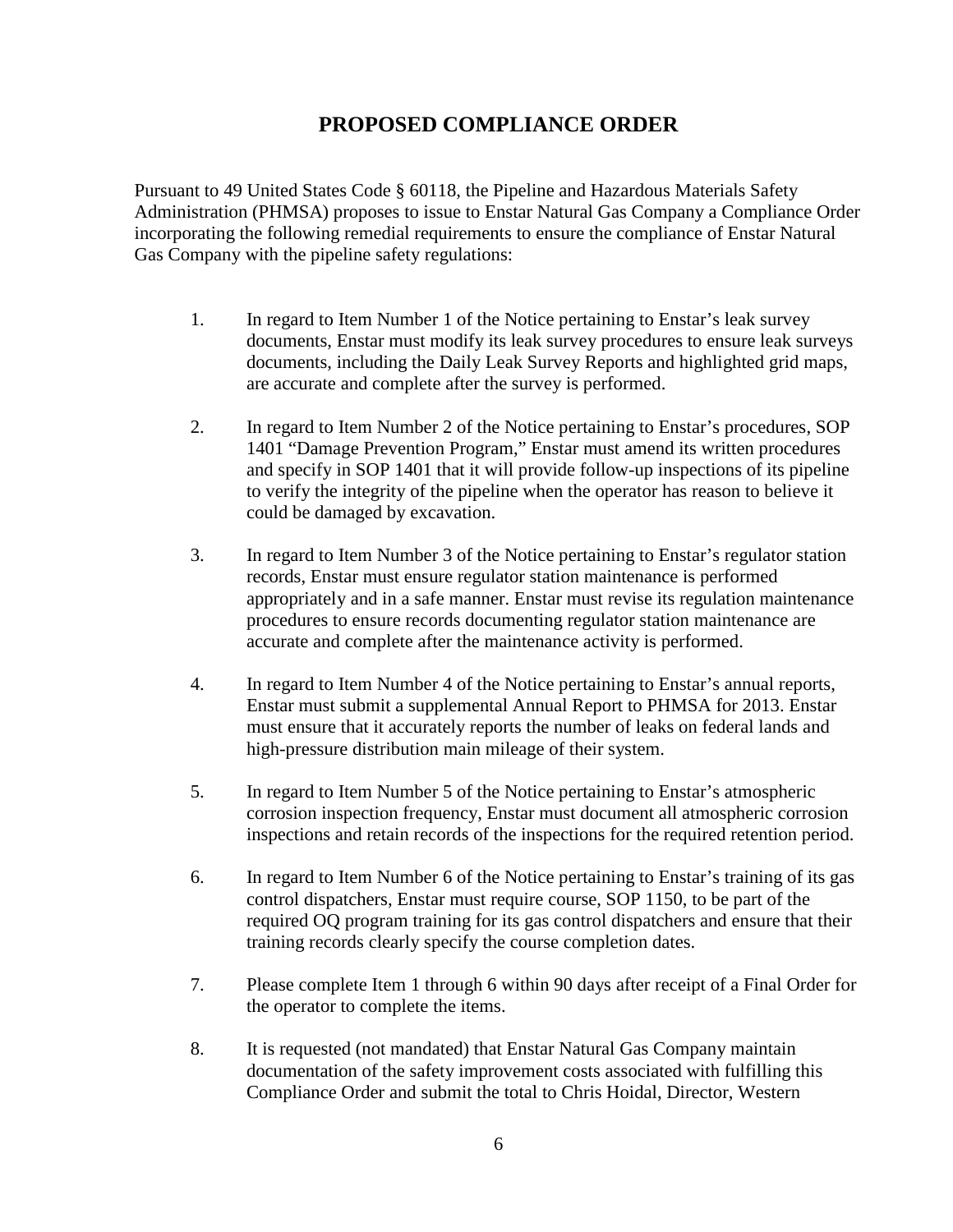## **PROPOSED COMPLIANCE ORDER**

Pursuant to 49 United States Code § 60118, the Pipeline and Hazardous Materials Safety Administration (PHMSA) proposes to issue to Enstar Natural Gas Company a Compliance Order incorporating the following remedial requirements to ensure the compliance of Enstar Natural Gas Company with the pipeline safety regulations:

- 1. In regard to Item Number 1 of the Notice pertaining to Enstar's leak survey documents, Enstar must modify its leak survey procedures to ensure leak surveys documents, including the Daily Leak Survey Reports and highlighted grid maps, are accurate and complete after the survey is performed.
- 2. In regard to Item Number 2 of the Notice pertaining to Enstar's procedures, SOP 1401 "Damage Prevention Program," Enstar must amend its written procedures and specify in SOP 1401 that it will provide follow-up inspections of its pipeline to verify the integrity of the pipeline when the operator has reason to believe it could be damaged by excavation.
- 3. In regard to Item Number 3 of the Notice pertaining to Enstar's regulator station records, Enstar must ensure regulator station maintenance is performed appropriately and in a safe manner. Enstar must revise its regulation maintenance procedures to ensure records documenting regulator station maintenance are accurate and complete after the maintenance activity is performed.
- 4. In regard to Item Number 4 of the Notice pertaining to Enstar's annual reports, Enstar must submit a supplemental Annual Report to PHMSA for 2013. Enstar must ensure that it accurately reports the number of leaks on federal lands and high-pressure distribution main mileage of their system.
- 5. In regard to Item Number 5 of the Notice pertaining to Enstar's atmospheric corrosion inspection frequency, Enstar must document all atmospheric corrosion inspections and retain records of the inspections for the required retention period.
- 6. In regard to Item Number 6 of the Notice pertaining to Enstar's training of its gas control dispatchers, Enstar must require course, SOP 1150, to be part of the required OQ program training for its gas control dispatchers and ensure that their training records clearly specify the course completion dates.
- 7. Please complete Item 1 through 6 within 90 days after receipt of a Final Order for the operator to complete the items.
- 8. It is requested (not mandated) that Enstar Natural Gas Company maintain documentation of the safety improvement costs associated with fulfilling this Compliance Order and submit the total to Chris Hoidal, Director, Western